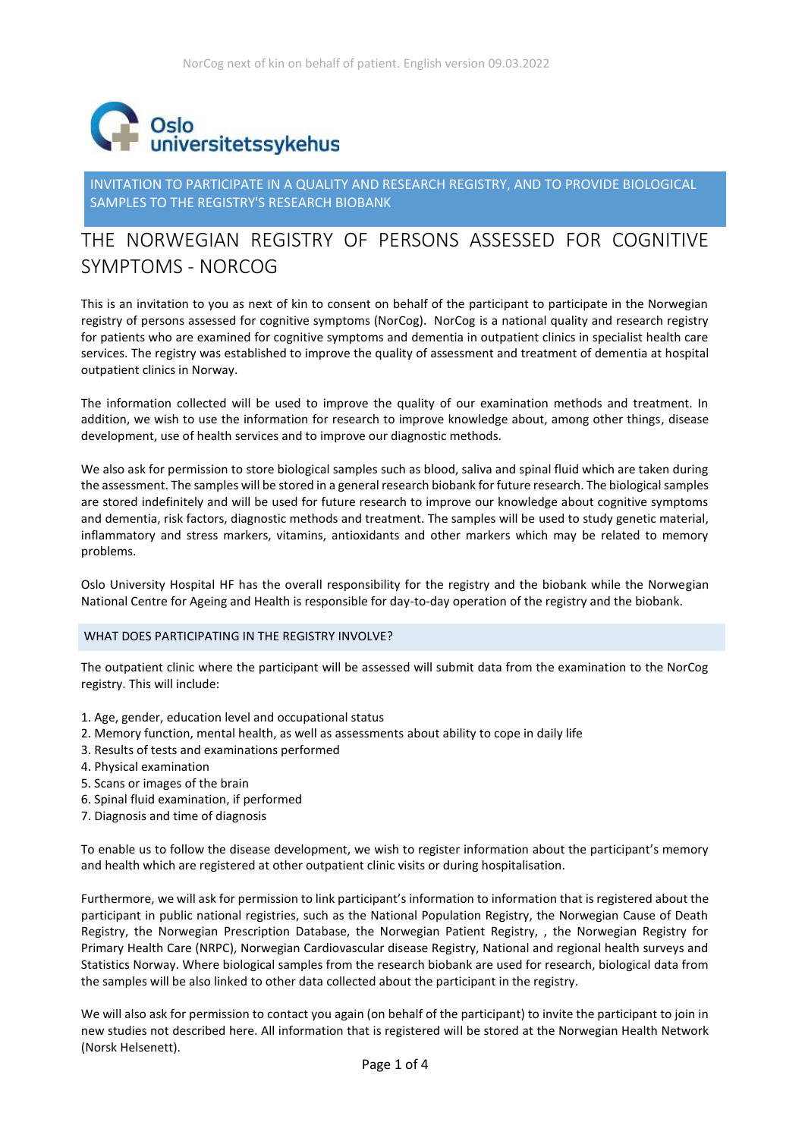

INVITATION TO PARTICIPATE IN A QUALITY AND RESEARCH REGISTRY, AND TO PROVIDE BIOLOGICAL SAMPLES TO THE REGISTRY'S RESEARCH BIOBANK

# THE NORWEGIAN REGISTRY OF PERSONS ASSESSED FOR COGNITIVE SYMPTOMS - NORCOG

This is an invitation to you as next of kin to consent on behalf of the participant to participate in the Norwegian registry of persons assessed for cognitive symptoms (NorCog). NorCog is a national quality and research registry for patients who are examined for cognitive symptoms and dementia in outpatient clinics in specialist health care services. The registry was established to improve the quality of assessment and treatment of dementia at hospital outpatient clinics in Norway.

The information collected will be used to improve the quality of our examination methods and treatment. In addition, we wish to use the information for research to improve knowledge about, among other things, disease development, use of health services and to improve our diagnostic methods.

We also ask for permission to store biological samples such as blood, saliva and spinal fluid which are taken during the assessment. The samples will be stored in a general research biobank for future research. The biological samples are stored indefinitely and will be used for future research to improve our knowledge about cognitive symptoms and dementia, risk factors, diagnostic methods and treatment. The samples will be used to study genetic material, inflammatory and stress markers, vitamins, antioxidants and other markers which may be related to memory problems.

Oslo University Hospital HF has the overall responsibility for the registry and the biobank while the Norwegian National Centre for Ageing and Health is responsible for day-to-day operation of the registry and the biobank.

## WHAT DOES PARTICIPATING IN THE REGISTRY INVOLVE?

The outpatient clinic where the participant will be assessed will submit data from the examination to the NorCog registry. This will include:

- 1. Age, gender, education level and occupational status
- 2. Memory function, mental health, as well as assessments about ability to cope in daily life
- 3. Results of tests and examinations performed
- 4. Physical examination
- 5. Scans or images of the brain
- 6. Spinal fluid examination, if performed
- 7. Diagnosis and time of diagnosis

To enable us to follow the disease development, we wish to register information about the participant's memory and health which are registered at other outpatient clinic visits or during hospitalisation.

Furthermore, we will ask for permission to link participant's information to information that is registered about the participant in public national registries, such as the National Population Registry, the Norwegian Cause of Death Registry, the Norwegian Prescription Database, the Norwegian Patient Registry, , the Norwegian Registry for Primary Health Care (NRPC), Norwegian Cardiovascular disease Registry, National and regional health surveys and Statistics Norway. Where biological samples from the research biobank are used for research, biological data from the samples will be also linked to other data collected about the participant in the registry.

We will also ask for permission to contact you again (on behalf of the participant) to invite the participant to join in new studies not described here. All information that is registered will be stored at the Norwegian Health Network (Norsk Helsenett).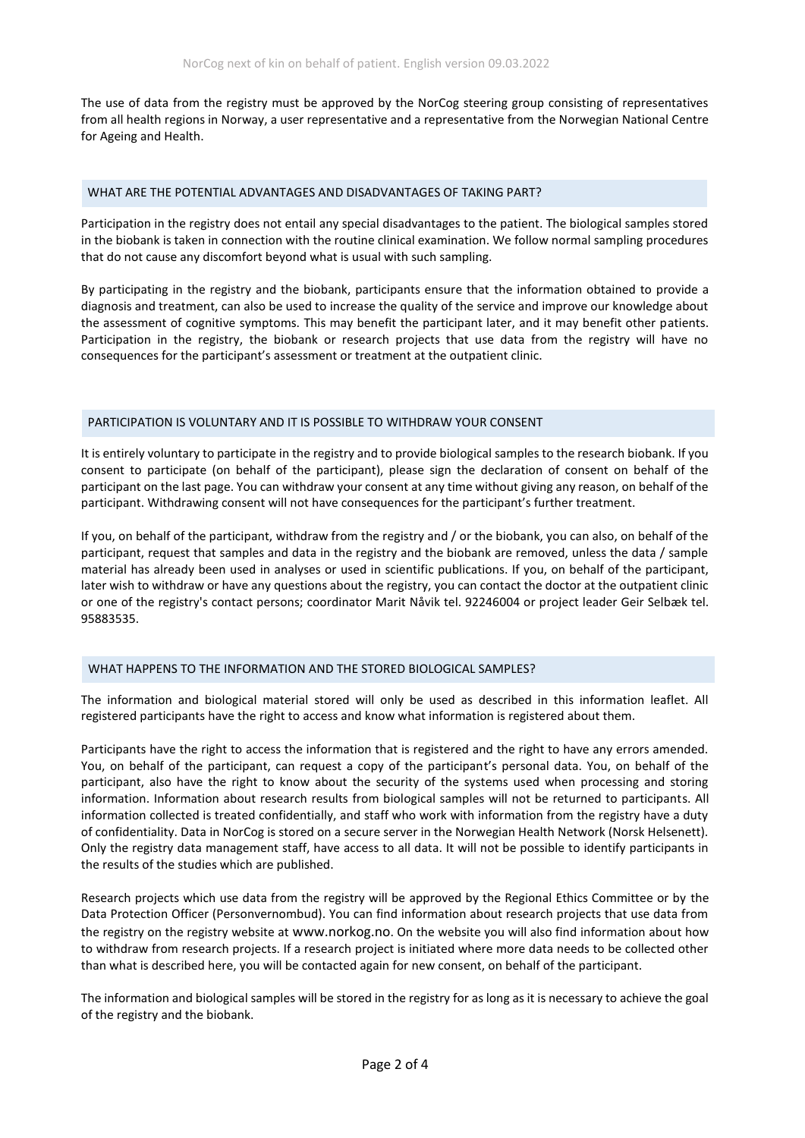The use of data from the registry must be approved by the NorCog steering group consisting of representatives from all health regions in Norway, a user representative and a representative from the Norwegian National Centre for Ageing and Health.

#### WHAT ARE THE POTENTIAL ADVANTAGES AND DISADVANTAGES OF TAKING PART?

Participation in the registry does not entail any special disadvantages to the patient. The biological samples stored in the biobank is taken in connection with the routine clinical examination. We follow normal sampling procedures that do not cause any discomfort beyond what is usual with such sampling.

By participating in the registry and the biobank, participants ensure that the information obtained to provide a diagnosis and treatment, can also be used to increase the quality of the service and improve our knowledge about the assessment of cognitive symptoms. This may benefit the participant later, and it may benefit other patients. Participation in the registry, the biobank or research projects that use data from the registry will have no consequences for the participant's assessment or treatment at the outpatient clinic.

#### PARTICIPATION IS VOLUNTARY AND IT IS POSSIBLE TO WITHDRAW YOUR CONSENT

It is entirely voluntary to participate in the registry and to provide biological samples to the research biobank. If you consent to participate (on behalf of the participant), please sign the declaration of consent on behalf of the participant on the last page. You can withdraw your consent at any time without giving any reason, on behalf of the participant. Withdrawing consent will not have consequences for the participant's further treatment.

If you, on behalf of the participant, withdraw from the registry and / or the biobank, you can also, on behalf of the participant, request that samples and data in the registry and the biobank are removed, unless the data / sample material has already been used in analyses or used in scientific publications. If you, on behalf of the participant, later wish to withdraw or have any questions about the registry, you can contact the doctor at the outpatient clinic or one of the registry's contact persons; coordinator Marit Nåvik tel. 92246004 or project leader Geir Selbæk tel. 95883535.

## WHAT HAPPENS TO THE INFORMATION AND THE STORED BIOLOGICAL SAMPLES?

The information and biological material stored will only be used as described in this information leaflet. All registered participants have the right to access and know what information is registered about them.

Participants have the right to access the information that is registered and the right to have any errors amended. You, on behalf of the participant, can request a copy of the participant's personal data. You, on behalf of the participant, also have the right to know about the security of the systems used when processing and storing information. Information about research results from biological samples will not be returned to participants. All information collected is treated confidentially, and staff who work with information from the registry have a duty of confidentiality. Data in NorCog is stored on a secure server in the Norwegian Health Network (Norsk Helsenett). Only the registry data management staff, have access to all data. It will not be possible to identify participants in the results of the studies which are published.

Research projects which use data from the registry will be approved by the Regional Ethics Committee or by the Data Protection Officer (Personvernombud). You can find information about research projects that use data from the registry on the registry website at [www.norkog.no](http://www.norkog.no/). On the website you will also find information about how to withdraw from research projects. If a research project is initiated where more data needs to be collected other than what is described here, you will be contacted again for new consent, on behalf of the participant.

The information and biological samples will be stored in the registry for as long as it is necessary to achieve the goal of the registry and the biobank.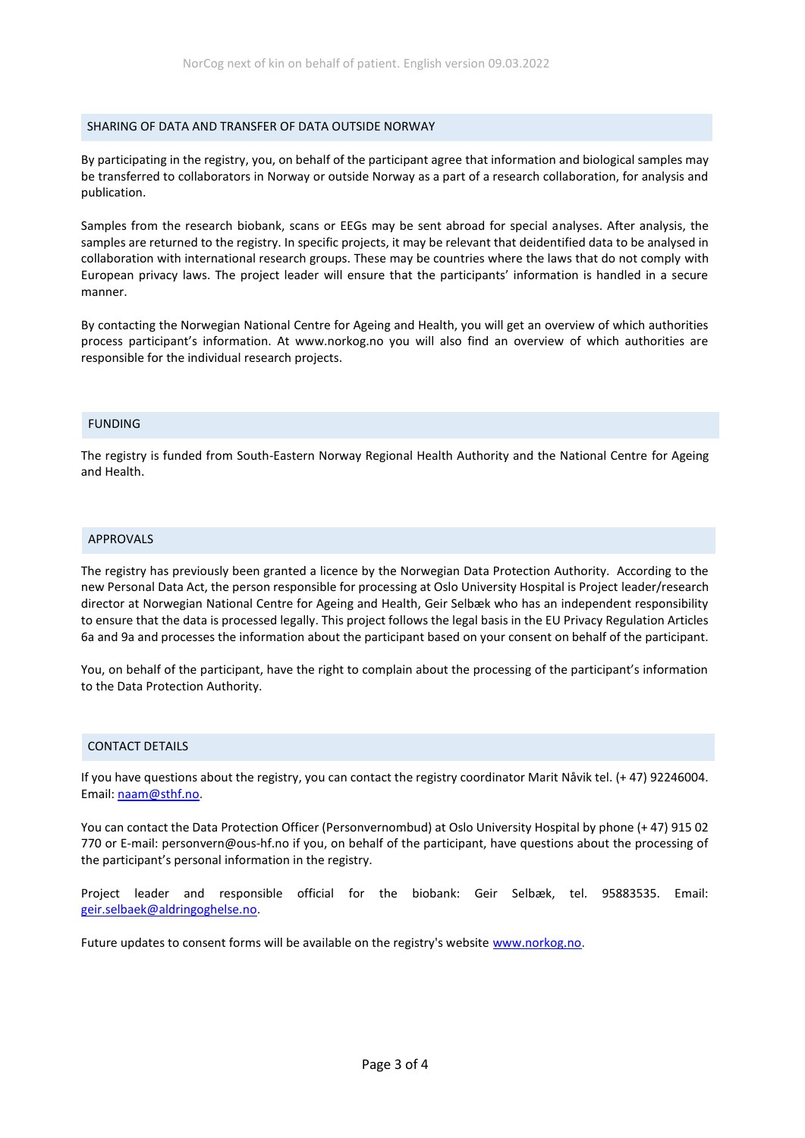#### SHARING OF DATA AND TRANSFER OF DATA OUTSIDE NORWAY

By participating in the registry, you, on behalf of the participant agree that information and biological samples may be transferred to collaborators in Norway or outside Norway as a part of a research collaboration, for analysis and publication.

Samples from the research biobank, scans or EEGs may be sent abroad for special analyses. After analysis, the samples are returned to the registry. In specific projects, it may be relevant that deidentified data to be analysed in collaboration with international research groups. These may be countries where the laws that do not comply with European privacy laws. The project leader will ensure that the participants' information is handled in a secure manner.

By contacting the Norwegian National Centre for Ageing and Health, you will get an overview of which authorities process participant's information. At www.norkog.no you will also find an overview of which authorities are responsible for the individual research projects.

#### FUNDING

The registry is funded from South-Eastern Norway Regional Health Authority and the National Centre for Ageing and Health.

#### APPROVALS

The registry has previously been granted a licence by the Norwegian Data Protection Authority. According to the new Personal Data Act, the person responsible for processing at Oslo University Hospital is Project leader/research director at Norwegian National Centre for Ageing and Health, Geir Selbæk who has an independent responsibility to ensure that the data is processed legally. This project follows the legal basis in the EU Privacy Regulation Articles 6a and 9a and processes the information about the participant based on your consent on behalf of the participant.

You, on behalf of the participant, have the right to complain about the processing of the participant's information to the Data Protection Authority.

## CONTACT DETAILS

If you have questions about the registry, you can contact the registry coordinator Marit Nåvik tel. (+ 47) 92246004. Email: [naam@sthf.no.](mailto:naam@sthf.no)

You can contact the Data Protection Officer (Personvernombud) at Oslo University Hospital by phone (+ 47) 915 02 770 or E-mail: personvern@ous-hf.no if you, on behalf of the participant, have questions about the processing of the participant's personal information in the registry.

Project leader and responsible official for the biobank: Geir Selbæk, tel. 95883535. Email: [geir.selbaek@aldringoghelse.no.](mailto:geir.selbaek@aldringoghelse.no)

Future updates to consent forms will be available on the registry's website [www.norkog.no.](http://www.norkog.no/)